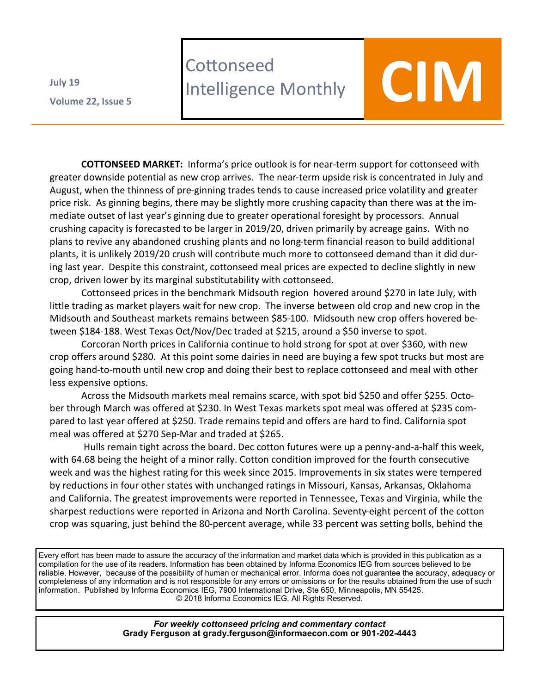**Volume 22 , Issue 5 July 19**

## **Cottonseed** Lottonseed<br>Intelligence Monthly **COM**

**COTTONSEED MARKET:** Informa's price outlook is for near-term support for cottonseed with greater downside potential as new crop arrives. The near-term upside risk is concentrated in July and August, when the thinness of pre-ginning trades tends to cause increased price volatility and greater price risk. As ginning begins, there may be slightly more crushing capacity than there was at the immediate outset of last year's ginning due to greater operational foresight by processors. Annual crushing capacity is forecasted to be larger in 2019/20, driven primarily by acreage gains. With no plans to revive any abandoned crushing plants and no long-term financial reason to build additional plants, it is unlikely 2019/20 crush will contribute much more to cottonseed demand than it did during last year. Despite this constraint, cottonseed meal prices are expected to decline slightly in new crop, driven lower by its marginal substitutability with cottonseed.

Cottonseed prices in the benchmark Midsouth region hovered around \$270 in late July, with little trading as market players wait for new crop. The inverse between old crop and new crop in the Midsouth and Southeast markets remains between \$85-100. Midsouth new crop offers hovered between \$184-188. West Texas Oct/Nov/Dec traded at \$215, around a \$50 inverse to spot.

Corcoran North prices in California continue to hold strong for spot at over \$360, with new crop offers around \$280. At this point some dairies in need are buying a few spot trucks but most are going hand-to-mouth until new crop and doing their best to replace cottonseed and meal with other less expensive options.

Across the Midsouth markets meal remains scarce, with spot bid \$250 and offer \$255. October through March was offered at \$230. In West Texas markets spot meal was offered at \$235 compared to last year offered at \$250. Trade remains tepid and offers are hard to find. California spot meal was offered at \$270 Sep-Mar and traded at \$265.

Hulls remain tight across the board. Dec cotton futures were up a penny-and-a-half this week, with 64.68 being the height of a minor rally. Cotton condition improved for the fourth consecutive week and was the highest rating for this week since 2015. Improvements in six states were tempered by reductions in four other states with unchanged ratings in Missouri, Kansas, Arkansas, Oklahoma and California. The greatest improvements were reported in Tennessee, Texas and Virginia, while the sharpest reductions were reported in Arizona and North Carolina. Seventy-eight percent of the cotton crop was squaring, just behind the 80-percent average, while 33 percent was setting bolls, behind the

Every effort has been made to assure the accuracy of the information and market data which is provided in this publication as a compilation for the use of its readers. Information has been obtained by Informa Economics IEG from sources believed to be reliable. However, because of the possibility of human or mechanical error, Informa does not guarantee the accuracy, adequacy or completeness of any information and is not responsible for any errors or omissions or for the results obtained from the use of such information. Published by Informa Economics IEG, 7900 International Drive, Ste 650, Minneapolis, MN 55425. © 2018 Informa Economics IEG, All Rights Reserved.

> *For weekly cottonseed pricing and commentary contact* **Grady Ferguson at grady.ferguson@informaecon.com or 901-202-4443**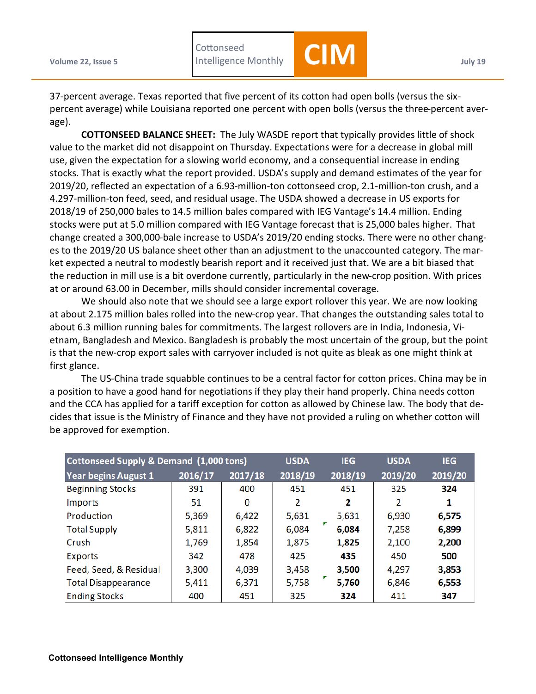**Volume 22, Issue 5 July 19 July 19 July 19 July 19 July 19 Cottonseed** 

Intelligence Monthly **CIM**

37-percent average. Texas reported that five percent of its cotton had open bolls (versus the sixpercent average) while Louisiana reported one percent with open bolls (versus the three-percent average).

**COTTONSEED BALANCE SHEET:** The July WASDE report that typically provides little of shock value to the market did not disappoint on Thursday. Expectations were for a decrease in global mill use, given the expectation for a slowing world economy, and a consequential increase in ending stocks. That is exactly what the report provided. USDA's supply and demand estimates of the year for 2019/20, reflected an expectation of a 6.93-million-ton cottonseed crop, 2.1-million-ton crush, and a 4.297-million-ton feed, seed, and residual usage. The USDA showed a decrease in US exports for 2018/19 of 250,000 bales to 14.5 million bales compared with IEG Vantage's 14.4 million. Ending stocks were put at 5.0 million compared with IEG Vantage forecast that is 25,000 bales higher. That change created a 300,000-bale increase to USDA's 2019/20 ending stocks. There were no other changes to the 2019/20 US balance sheet other than an adjustment to the unaccounted category. The market expected a neutral to modestly bearish report and it received just that. We are a bit biased that the reduction in mill use is a bit overdone currently, particularly in the new-crop position. With prices at or around 63.00 in December, mills should consider incremental coverage.

We should also note that we should see a large export rollover this year. We are now looking at about 2.175 million bales rolled into the new-crop year. That changes the outstanding sales total to about 6.3 million running bales for commitments. The largest rollovers are in India, Indonesia, Vietnam, Bangladesh and Mexico. Bangladesh is probably the most uncertain of the group, but the point is that the new-crop export sales with carryover included is not quite as bleak as one might think at first glance.

The US-China trade squabble continues to be a central factor for cotton prices. China may be in a position to have a good hand for negotiations if they play their hand properly. China needs cotton and the CCA has applied for a tariff exception for cotton as allowed by Chinese law. The body that decides that issue is the Ministry of Finance and they have not provided a ruling on whether cotton will be approved for exemption.

| Cottonseed Supply & Demand (1,000 tons) | <b>USDA</b> | <b>IEG</b> | <b>USDA</b> | <b>IEG</b> |         |         |
|-----------------------------------------|-------------|------------|-------------|------------|---------|---------|
| <b>Year begins August 1</b>             | 2016/17     | 2017/18    | 2018/19     | 2018/19    | 2019/20 | 2019/20 |
| <b>Beginning Stocks</b>                 | 391         | 400        | 451         | 451        | 325     | 324     |
| Imports                                 | 51          | 0          | 2           | 2          | 2       | 1       |
| Production                              | 5,369       | 6,422      | 5,631       | 5,631      | 6,930   | 6,575   |
| <b>Total Supply</b>                     | 5,811       | 6,822      | 6,084       | 6,084      | 7,258   | 6,899   |
| Crush                                   | 1,769       | 1,854      | 1,875       | 1,825      | 2,100   | 2,200   |
| <b>Exports</b>                          | 342         | 478        | 425         | 435        | 450     | 500     |
| Feed, Seed, & Residual                  | 3,300       | 4,039      | 3,458       | 3,500      | 4,297   | 3,853   |
| <b>Total Disappearance</b>              | 5,411       | 6,371      | 5,758       | 5,760      | 6,846   | 6,553   |
| <b>Ending Stocks</b>                    | 400         | 451        | 325         | 324        | 411     | 347     |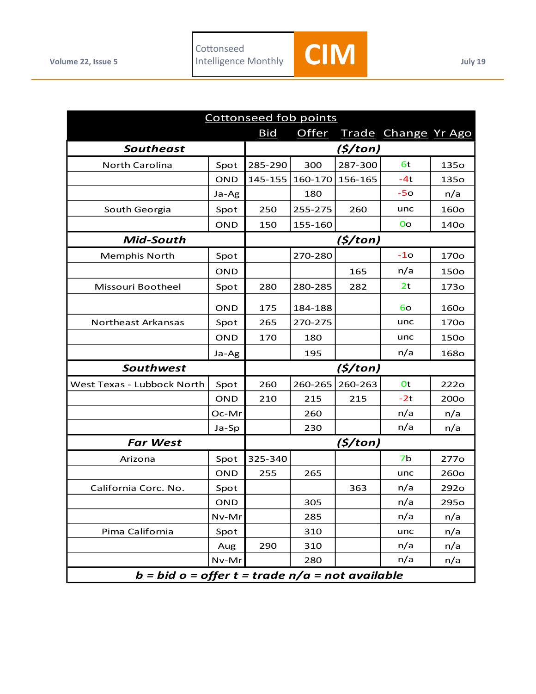

| <b>Cottonseed fob points</b>                      |            |            |         |         |                     |                  |  |  |
|---------------------------------------------------|------------|------------|---------|---------|---------------------|------------------|--|--|
|                                                   |            | <b>Bid</b> | Offer   |         | Trade Change Yr Ago |                  |  |  |
| <b>Southeast</b>                                  |            |            |         | (5/ton) |                     |                  |  |  |
| <b>North Carolina</b>                             | Spot       | 285-290    | 300     | 287-300 | 6t                  | <b>1350</b>      |  |  |
|                                                   | <b>OND</b> | 145-155    | 160-170 | 156-165 | $-4t$               | 135o             |  |  |
|                                                   | Ja-Ag      |            | 180     |         | $-50$               | n/a              |  |  |
| South Georgia                                     | Spot       | 250        | 255-275 | 260     | unc                 | 160o             |  |  |
|                                                   | <b>OND</b> | 150        | 155-160 |         | 0 <sub>o</sub>      | <b>140o</b>      |  |  |
| Mid-South                                         |            |            |         | (5/ton) |                     |                  |  |  |
| <b>Memphis North</b>                              | Spot       |            | 270-280 |         | $-10$               | 170o             |  |  |
|                                                   | <b>OND</b> |            |         | 165     | n/a                 | 150o             |  |  |
| Missouri Bootheel                                 | Spot       | 280        | 280-285 | 282     | 2 <sub>t</sub>      | 173o             |  |  |
|                                                   | <b>OND</b> | 175        | 184-188 |         | 60                  | 160o             |  |  |
| Northeast Arkansas                                | Spot       | 265        | 270-275 |         | unc                 | 170 <sub>o</sub> |  |  |
|                                                   | <b>OND</b> | 170        | 180     |         | unc                 | 150o             |  |  |
|                                                   | Ja-Ag      |            | 195     |         | n/a                 | <b>1680</b>      |  |  |
| Southwest                                         |            | (5/ton)    |         |         |                     |                  |  |  |
| West Texas - Lubbock North                        | Spot       | 260        | 260-265 | 260-263 | 0t                  | <b>222o</b>      |  |  |
|                                                   | <b>OND</b> | 210        | 215     | 215     | $-2t$               | 200 <sub>o</sub> |  |  |
|                                                   | Oc-Mr      |            | 260     |         | n/a                 | n/a              |  |  |
|                                                   | Ja-Sp      |            | 230     |         | n/a                 | n/a              |  |  |
| <b>Far West</b>                                   |            | (\$/ton)   |         |         |                     |                  |  |  |
| Arizona                                           | Spot       | 325-340    |         |         | 7b                  | 277 <sub>o</sub> |  |  |
|                                                   | <b>OND</b> | 255        | 265     |         | unc                 | <b>260o</b>      |  |  |
| California Corc. No.                              | Spot       |            |         | 363     | n/a                 | 292o             |  |  |
|                                                   | <b>OND</b> |            | 305     |         | n/a                 | 295o             |  |  |
|                                                   | Nv-Mr      |            | 285     |         | n/a                 | n/a              |  |  |
| Pima California                                   | Spot       |            | 310     |         | unc                 | n/a              |  |  |
|                                                   | Aug        | 290        | 310     |         | n/a                 | n/a              |  |  |
|                                                   | Nv-Mr      |            | 280     |         | n/a                 | n/a              |  |  |
| $b = bid o = offer t = trade n/a = not available$ |            |            |         |         |                     |                  |  |  |